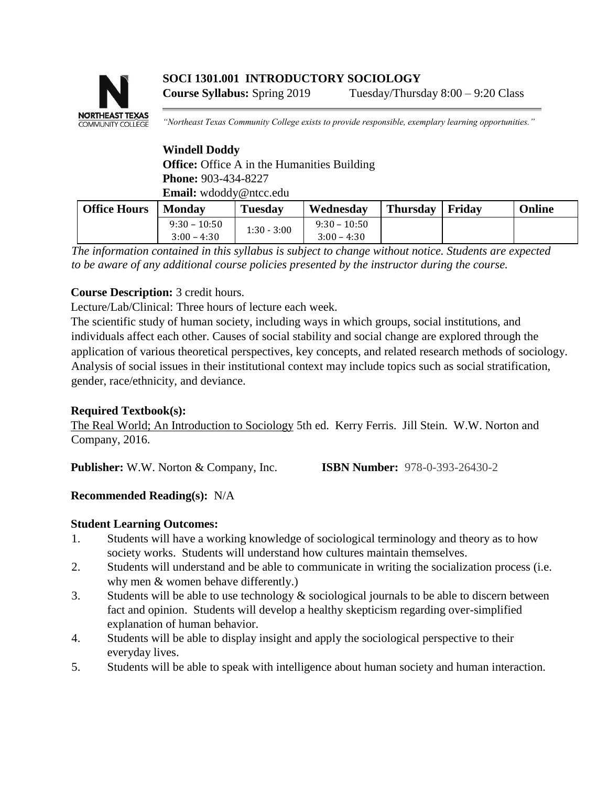# **SOCI 1301.001 INTRODUCTORY SOCIOLOGY Course Syllabus:** Spring 2019 Tuesday/Thursday 8:00 – 9:20 Class



*"Northeast Texas Community College exists to provide responsible, exemplary learning opportunities."* 

# **Windell Doddy Office:** Office A in the Humanities Building **Phone:** 903-434-8227 **Email:** wdoddy@ntcc.edu

| <b>Office Hours</b> | <b>Monday</b>  | Tuesday       | Wednesday      | Thursday   Friday | Online |
|---------------------|----------------|---------------|----------------|-------------------|--------|
|                     | $9:30 - 10:50$ | $1:30 - 3:00$ | $9:30 - 10:50$ |                   |        |
|                     | $3:00 - 4:30$  |               | $3:00 - 4:30$  |                   |        |

*The information contained in this syllabus is subject to change without notice. Students are expected to be aware of any additional course policies presented by the instructor during the course.* 

# **Course Description:** 3 credit hours.

Lecture/Lab/Clinical: Three hours of lecture each week.

The scientific study of human society, including ways in which groups, social institutions, and individuals affect each other. Causes of social stability and social change are explored through the application of various theoretical perspectives, key concepts, and related research methods of sociology. Analysis of social issues in their institutional context may include topics such as social stratification, gender, race/ethnicity, and deviance.

# **Required Textbook(s):**

The Real World; An Introduction to Sociology 5th ed. Kerry Ferris. Jill Stein. W.W. Norton and Company, 2016.

**Publisher:** W.W. Norton & Company, Inc. **ISBN Number:** 978-0-393-26430-2

# **Recommended Reading(s):** N/A

# **Student Learning Outcomes:**

- 1. Students will have a working knowledge of sociological terminology and theory as to how society works. Students will understand how cultures maintain themselves.
- 2. Students will understand and be able to communicate in writing the socialization process (i.e. why men & women behave differently.)
- 3. Students will be able to use technology  $\&$  sociological journals to be able to discern between fact and opinion. Students will develop a healthy skepticism regarding over-simplified explanation of human behavior.
- 4. Students will be able to display insight and apply the sociological perspective to their everyday lives.
- 5. Students will be able to speak with intelligence about human society and human interaction.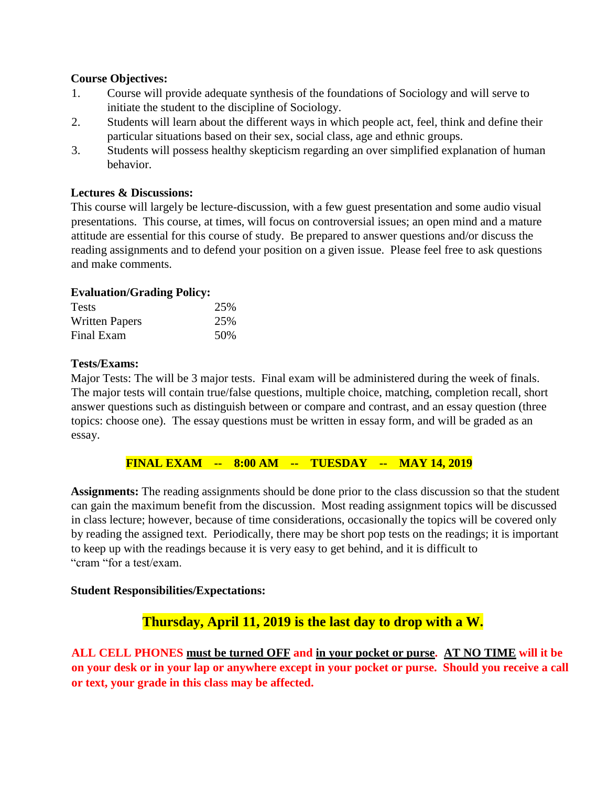# **Course Objectives:**

- 1. Course will provide adequate synthesis of the foundations of Sociology and will serve to initiate the student to the discipline of Sociology.
- 2. Students will learn about the different ways in which people act, feel, think and define their particular situations based on their sex, social class, age and ethnic groups.
- 3. Students will possess healthy skepticism regarding an over simplified explanation of human behavior.

### **Lectures & Discussions:**

This course will largely be lecture-discussion, with a few guest presentation and some audio visual presentations. This course, at times, will focus on controversial issues; an open mind and a mature attitude are essential for this course of study. Be prepared to answer questions and/or discuss the reading assignments and to defend your position on a given issue. Please feel free to ask questions and make comments.

### **Evaluation/Grading Policy:**

| <b>Tests</b>          | 25% |
|-----------------------|-----|
| <b>Written Papers</b> | 25% |
| Final Exam            | 50% |

#### **Tests/Exams:**

Major Tests: The will be 3 major tests. Final exam will be administered during the week of finals. The major tests will contain true/false questions, multiple choice, matching, completion recall, short answer questions such as distinguish between or compare and contrast, and an essay question (three topics: choose one). The essay questions must be written in essay form, and will be graded as an essay.

#### **FINAL EXAM -- 8:00 AM -- TUESDAY -- MAY 14, 2019**

**Assignments:** The reading assignments should be done prior to the class discussion so that the student can gain the maximum benefit from the discussion. Most reading assignment topics will be discussed in class lecture; however, because of time considerations, occasionally the topics will be covered only by reading the assigned text. Periodically, there may be short pop tests on the readings; it is important to keep up with the readings because it is very easy to get behind, and it is difficult to "cram "for a test/exam.

#### **Student Responsibilities/Expectations:**

# **Thursday, April 11, 2019 is the last day to drop with a W.**

**ALL CELL PHONES must be turned OFF and in your pocket or purse. AT NO TIME will it be on your desk or in your lap or anywhere except in your pocket or purse. Should you receive a call or text, your grade in this class may be affected.**